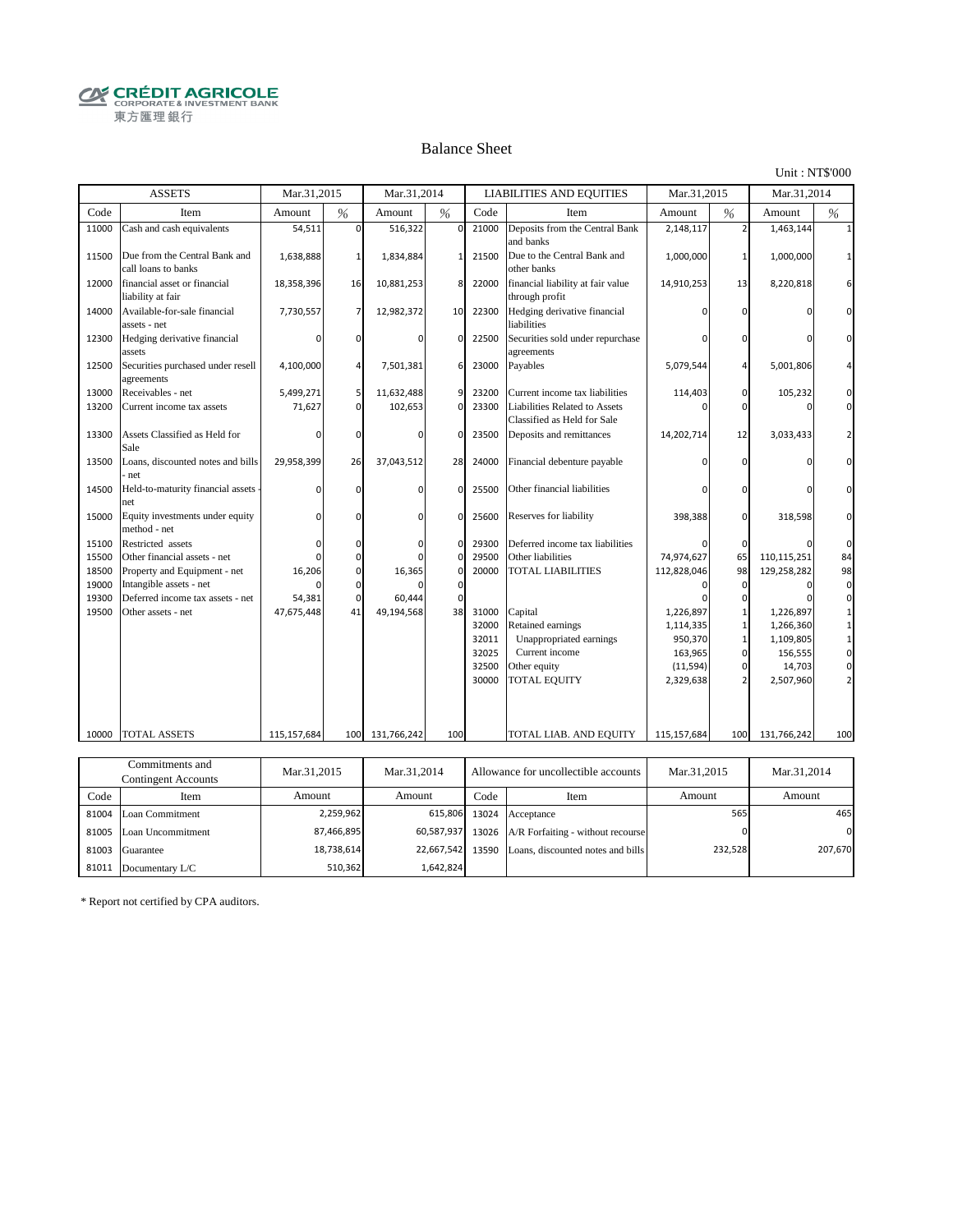**CRÉDIT AGRICOLE** 東方匯理銀行

#### Balance Sheet

Unit : NT\$'000

|                | <b>ASSETS</b>                                               | Mar.31,2015          |                | Mar.31,2014          |                |       | <b>LIABILITIES AND EQUITIES</b>                              | Mar.31.2015 |                          | Mar.31.2014 |          |
|----------------|-------------------------------------------------------------|----------------------|----------------|----------------------|----------------|-------|--------------------------------------------------------------|-------------|--------------------------|-------------|----------|
| Code           | Item                                                        | Amount               | $\frac{0}{6}$  | Amount               | %              | Code  | Item                                                         | Amount      | %                        | Amount      | %        |
| 11000          | Cash and cash equivalents                                   | 54,511               | $\Omega$       | 516,322              | $\mathbf 0$    | 21000 | Deposits from the Central Bank<br>and banks                  | 2,148,117   | $\overline{\phantom{0}}$ | 1,463,144   |          |
| 11500          | Due from the Central Bank and<br>call loans to banks        | 1,638,888            | $\mathbf{1}$   | 1,834,884            | $1\vert$       | 21500 | Due to the Central Bank and<br>other banks                   | 1,000,000   |                          | 1,000,000   |          |
| 12000          | financial asset or financial<br>liability at fair           | 18,358,396           | 16             | 10,881,253           | 8              | 22000 | financial liability at fair value<br>through profit          | 14,910,253  | 13                       | 8,220,818   |          |
| 14000          | Available-for-sale financial<br>assets - net                | 7,730,557            | 7              | 12,982,372           | 10             | 22300 | Hedging derivative financial<br>liabilities                  |             | n                        |             |          |
| 12300          | Hedging derivative financial<br>assets                      | $\Omega$             | $\Omega$       |                      | $\Omega$       | 22500 | Securities sold under repurchase<br>agreements               |             | ŋ                        |             |          |
| 12500          | Securities purchased under resell<br>agreements             | 4,100,000            | $\overline{4}$ | 7,501,381            | 6              | 23000 | Payables                                                     | 5,079,544   |                          | 5,001,806   |          |
| 13000          | Receivables - net                                           | 5,499,271            | 5              | 11,632,488           | $\overline{9}$ | 23200 | Current income tax liabilities                               | 114,403     | 0                        | 105,232     |          |
| 13200          | Current income tax assets                                   | 71,627               | $\overline{0}$ | 102,653              | $\mathbf 0$    | 23300 | Liabilities Related to Assets<br>Classified as Held for Sale |             | $\Omega$                 |             | $\Omega$ |
| 13300          | Assets Classified as Held for<br>Sale                       | O                    | $\Omega$       | n                    | $\Omega$       | 23500 | Deposits and remittances                                     | 14,202,714  | 12                       | 3,033,433   |          |
| 13500          | Loans, discounted notes and bills<br>net                    | 29,958,399           | 26             | 37,043,512           | 28             | 24000 | Financial debenture payable                                  |             |                          |             |          |
| 14500          | Held-to-maturity financial assets<br>net                    |                      | $\mathbf 0$    |                      | $\mathbf{0}$   | 25500 | Other financial liabilities                                  |             |                          |             |          |
| 15000          | Equity investments under equity<br>method - net             | n                    | $\Omega$       |                      | $\Omega$       | 25600 | Reserves for liability                                       | 398,388     | $\Omega$                 | 318,598     |          |
| 15100          | Restricted assets                                           |                      | $\Omega$       |                      | 0              | 29300 | Deferred income tax liabilities                              |             | $\Omega$                 |             | $\Omega$ |
| 15500          | Other financial assets - net                                |                      | $\Omega$       |                      | $\Omega$       | 29500 | Other liabilities                                            | 74,974,627  | 65                       | 110,115,251 | 84       |
| 18500          | Property and Equipment - net                                | 16,206               | $\mathbf 0$    | 16,365               | $\mathbf 0$    | 20000 | <b>TOTAL LIABILITIES</b>                                     | 112,828,046 | 98                       | 129,258,282 | 98       |
| 19000          | Intangible assets - net<br>Deferred income tax assets - net |                      | $\Omega$       |                      | $\Omega$       |       |                                                              |             | $\Omega$                 |             | $\Omega$ |
| 19300<br>19500 | Other assets - net                                          | 54,381<br>47,675,448 | $\Omega$<br>41 | 60,444<br>49,194,568 | $\Omega$<br>38 | 31000 | Capital                                                      | 1,226,897   | $\Omega$                 | 1,226,897   |          |
|                |                                                             |                      |                |                      |                | 32000 | Retained earnings                                            | 1,114,335   |                          | 1,266,360   |          |
|                |                                                             |                      |                |                      |                | 32011 | Unappropriated earnings                                      | 950,370     |                          | 1,109,805   |          |
|                |                                                             |                      |                |                      |                | 32025 | Current income                                               | 163,965     | $\Omega$                 | 156,555     | $\Omega$ |
|                |                                                             |                      |                |                      |                | 32500 | Other equity                                                 | (11, 594)   |                          | 14,703      |          |
|                |                                                             |                      |                |                      |                | 30000 | <b>TOTAL EQUITY</b>                                          | 2,329,638   |                          | 2,507,960   |          |
|                |                                                             |                      |                |                      |                |       |                                                              |             |                          |             |          |
| 10000          | <b>TOTAL ASSETS</b>                                         | 115,157,684          |                | 100 131,766,242      | 100            |       | TOTAL LIAB. AND EQUITY                                       | 115,157,684 | 100                      | 131,766,242 | 100      |
|                |                                                             |                      |                |                      |                |       |                                                              |             |                          |             |          |
|                | Commitments and                                             |                      |                |                      |                |       |                                                              |             |                          |             |          |
|                | $C$ and $C$ and $A$                                         | Mar.31.2015          |                | Mar.31.2014          |                |       | Allowance for uncollectible accounts                         | Mar.31.2015 |                          | Mar.31.2014 |          |

| Соншниција ана<br>Contingent Accounts |                         | Mar.31,2014<br>Mar.31,2015 |            |       | Allowance for uncollectible accounts    | Mar.31.2015 | Mar.31,2014 |
|---------------------------------------|-------------------------|----------------------------|------------|-------|-----------------------------------------|-------------|-------------|
| Code                                  | Item                    | Amount                     | Amount     | Code  | Item                                    | Amount      | Amount      |
|                                       | 81004 Loan Commitment   | 2,259,962                  | 615,806    | 13024 | Acceptance                              | 5651        | 465         |
|                                       | 81005 Loan Uncommitment | 87,466,895                 | 60,587,937 |       | 13026 A/R Forfaiting - without recourse |             | $\Omega$    |
| 81003                                 | Guarantee               | 18,738,614                 | 22.667.542 | 13590 | Loans, discounted notes and bills       | 232,528     | 207,670     |
| 81011                                 | Documentary L/C         | 510,362                    | 1.642.824  |       |                                         |             |             |

\* Report not certified by CPA auditors.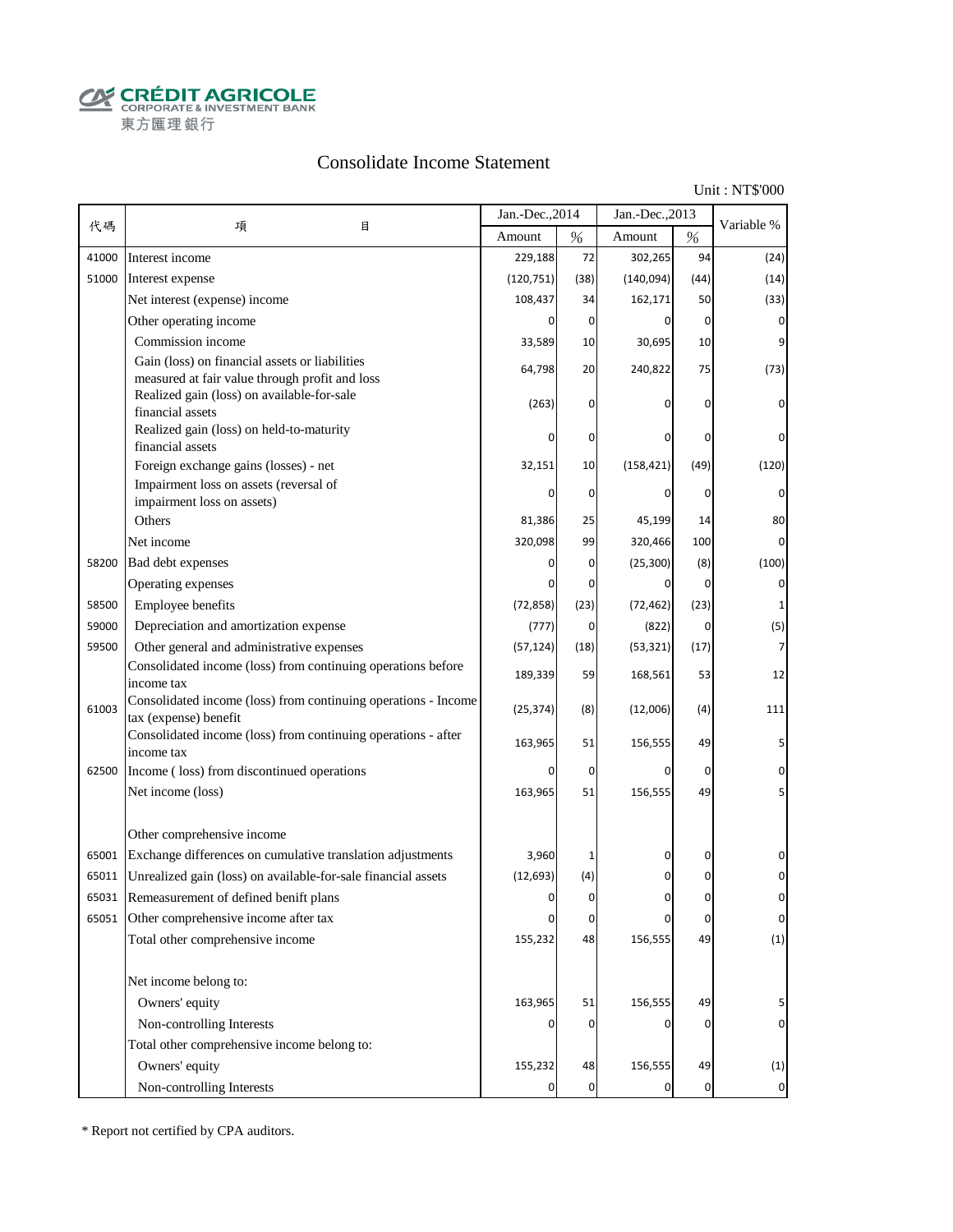**CALCOUT AGRICOLE**<br>
CORPORATE & INVESTMENT BANK<br>
東方匯理銀行

### Consolidate Income Statement

Unit : NT\$'000

|       |                                                                                                  | Jan.-Dec., 2014 |             | Jan.-Dec., 2013 |                |                |
|-------|--------------------------------------------------------------------------------------------------|-----------------|-------------|-----------------|----------------|----------------|
| 代碼    | 項<br>目                                                                                           | Amount          | $\%$        | Amount          | $\%$           | Variable %     |
| 41000 | Interest income                                                                                  | 229,188         | 72          | 302,265         | 94             | (24)           |
| 51000 | Interest expense                                                                                 | (120, 751)      | (38)        | (140,094)       | (44)           | (14)           |
|       | Net interest (expense) income                                                                    | 108,437         | 34          | 162,171         | 50             | (33)           |
|       | Other operating income                                                                           | $\Omega$        | 0           | 0               | $\overline{0}$ | 0              |
|       | Commission income                                                                                | 33,589          | 10          | 30,695          | 10             |                |
|       | Gain (loss) on financial assets or liabilities<br>measured at fair value through profit and loss | 64,798          | 20          | 240,822         | 75             | (73)           |
|       | Realized gain (loss) on available-for-sale<br>financial assets                                   | (263)           | 0           |                 | 0              | 0              |
|       | Realized gain (loss) on held-to-maturity<br>financial assets                                     |                 | 0           | 0               | 0              | 0              |
|       | Foreign exchange gains (losses) - net                                                            | 32,151          | 10          | (158, 421)      | (49)           | (120)          |
|       | Impairment loss on assets (reversal of                                                           |                 | 0           | 0               | 0              | 0              |
|       | impairment loss on assets)                                                                       |                 |             |                 |                |                |
|       | Others                                                                                           | 81,386          | 25          | 45,199          | 14             | 80             |
|       | Net income                                                                                       | 320,098         | 99          | 320,466         | 100            | $\Omega$       |
| 58200 | Bad debt expenses                                                                                |                 | 0           | (25, 300)       | (8)            | (100)          |
|       | Operating expenses                                                                               | n               | 0           | 0               | $\overline{0}$ | 0              |
| 58500 | Employee benefits                                                                                | (72, 858)       | (23)        | (72, 462)       | (23)           | 1              |
| 59000 | Depreciation and amortization expense                                                            | (777)           | 0           | (822)           | 0              | (5)            |
| 59500 | Other general and administrative expenses                                                        | (57, 124)       | (18)        | (53, 321)       | (17)           | 7              |
|       | Consolidated income (loss) from continuing operations before<br>income tax                       | 189,339         | 59          | 168,561         | 53             | 12             |
| 61003 | Consolidated income (loss) from continuing operations - Income<br>tax (expense) benefit          | (25, 374)       | (8)         | (12,006)        | (4)            | 111            |
|       | Consolidated income (loss) from continuing operations - after<br>income tax                      | 163,965         | 51          | 156,555         | 49             |                |
| 62500 | Income (loss) from discontinued operations                                                       | 0               | $\mathbf 0$ | $\Omega$        | $\mathbf 0$    | 0              |
|       | Net income (loss)                                                                                | 163,965         | 51          | 156,555         | 49             |                |
|       | Other comprehensive income                                                                       |                 |             |                 |                |                |
| 65001 | Exchange differences on cumulative translation adjustments                                       | 3,960           |             | 0               | 0              | 0              |
| 65011 | Unrealized gain (loss) on available-for-sale financial assets                                    | (12, 693)       | (4)         | 0               | 0              |                |
| 65031 | Remeasurement of defined benift plans                                                            | O               | $\Omega$    |                 | O              |                |
|       | 65051 Other comprehensive income after tax                                                       | 0               | $\pmb{0}$   | 0               | 0              | $\pmb{0}$      |
|       | Total other comprehensive income                                                                 | 155,232         | 48          | 156,555         | 49             | (1)            |
|       | Net income belong to:                                                                            |                 |             |                 |                |                |
|       | Owners' equity                                                                                   | 163,965         | 51          | 156,555         | 49             | 5              |
|       | Non-controlling Interests                                                                        |                 | 0           | 0               | 0              | 0              |
|       | Total other comprehensive income belong to:                                                      |                 |             |                 |                |                |
|       | Owners' equity                                                                                   | 155,232         | 48          | 156,555         | 49             | (1)            |
|       | Non-controlling Interests                                                                        | 0               | $\mathbf 0$ | 0               | $\mathbf 0$    | $\overline{0}$ |

\* Report not certified by CPA auditors.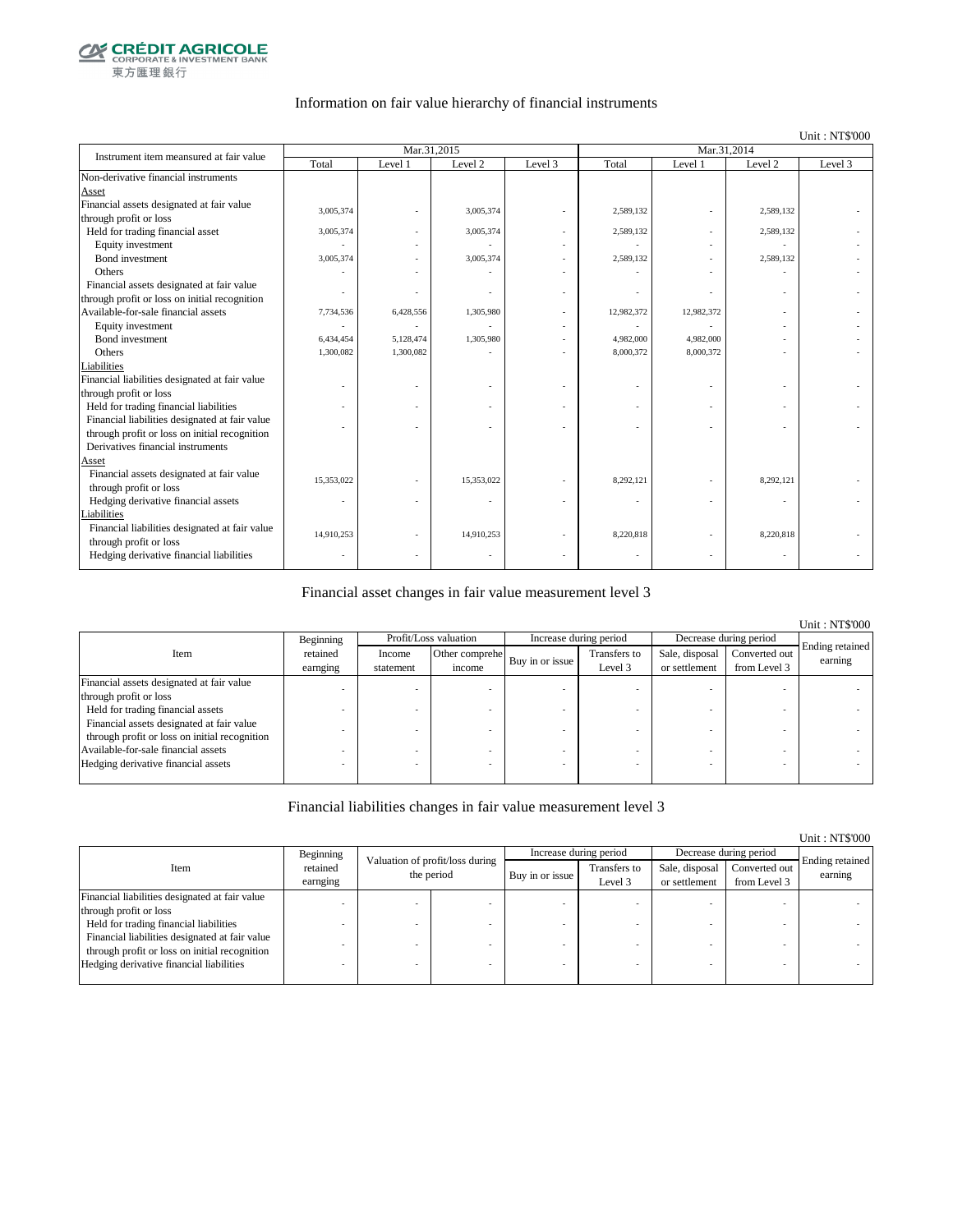

#### Information on fair value hierarchy of financial instruments

#### Unit : NT\$'000

| Instrument item meansured at fair value        |            | Mar.31.2015 |            |         | Mar.31.2014 |            |                    |         |
|------------------------------------------------|------------|-------------|------------|---------|-------------|------------|--------------------|---------|
|                                                | Total      | Level 1     | Level 2    | Level 3 | Total       | Level 1    | Level <sub>2</sub> | Level 3 |
| Non-derivative financial instruments           |            |             |            |         |             |            |                    |         |
| Asset                                          |            |             |            |         |             |            |                    |         |
| Financial assets designated at fair value      | 3,005,374  |             | 3,005,374  |         | 2,589,132   |            | 2,589,132          |         |
| through profit or loss                         |            |             |            |         |             |            |                    |         |
| Held for trading financial asset               | 3,005,374  |             | 3,005,374  |         | 2,589,132   |            | 2,589,132          |         |
| Equity investment                              |            |             |            |         |             |            |                    |         |
| Bond investment                                | 3,005,374  |             | 3,005,374  |         | 2,589,132   |            | 2,589,132          |         |
| Others                                         |            |             |            |         |             |            |                    |         |
| Financial assets designated at fair value      |            |             |            |         |             |            |                    |         |
| through profit or loss on initial recognition  |            |             |            |         |             |            |                    |         |
| Available-for-sale financial assets            | 7,734,536  | 6,428,556   | 1,305,980  |         | 12,982,372  | 12,982,372 |                    |         |
| Equity investment                              |            |             |            |         |             |            |                    |         |
| Bond investment                                | 6,434,454  | 5,128,474   | 1,305,980  |         | 4,982,000   | 4,982,000  |                    |         |
| Others                                         | 1,300,082  | 1,300,082   |            |         | 8,000,372   | 8,000,372  |                    |         |
| Liabilities                                    |            |             |            |         |             |            |                    |         |
| Financial liabilities designated at fair value |            |             |            |         |             |            |                    |         |
| through profit or loss                         |            |             |            |         |             |            |                    |         |
| Held for trading financial liabilities         |            |             |            |         |             |            |                    |         |
| Financial liabilities designated at fair value |            |             |            |         |             |            |                    |         |
| through profit or loss on initial recognition  |            |             |            |         |             |            |                    |         |
| Derivatives financial instruments              |            |             |            |         |             |            |                    |         |
| Asset                                          |            |             |            |         |             |            |                    |         |
| Financial assets designated at fair value      | 15,353,022 |             | 15,353,022 |         | 8,292,121   |            | 8,292,121          |         |
| through profit or loss                         |            |             |            |         |             |            |                    |         |
| Hedging derivative financial assets            |            |             |            |         |             |            |                    |         |
| Liabilities                                    |            |             |            |         |             |            |                    |         |
| Financial liabilities designated at fair value | 14,910,253 |             | 14,910,253 |         | 8,220,818   |            | 8,220,818          |         |
| through profit or loss                         |            |             |            |         |             |            |                    |         |
| Hedging derivative financial liabilities       |            |             |            |         |             |            |                    |         |
|                                                |            |             |            |         |             |            |                    |         |

#### Financial asset changes in fair value measurement level 3

|                                               |           |           |                           |  |                        |                |                        | <b>Unit: NT\$'000</b> |
|-----------------------------------------------|-----------|-----------|---------------------------|--|------------------------|----------------|------------------------|-----------------------|
|                                               | Beginning |           | Profit/Loss valuation     |  | Increase during period |                | Decrease during period |                       |
| Item                                          | retained  | Income    | Other comprehe            |  | Transfers to           | Sale, disposal | Converted out          | Ending retained       |
|                                               | earnging  | statement | Buy in or issue<br>income |  | Level 3                | or settlement  | from Level 3           | earning               |
| Financial assets designated at fair value     |           |           |                           |  |                        |                |                        |                       |
| through profit or loss                        |           |           |                           |  |                        |                |                        |                       |
| Held for trading financial assets             |           |           |                           |  |                        |                |                        |                       |
| Financial assets designated at fair value     |           |           |                           |  |                        |                |                        |                       |
| through profit or loss on initial recognition |           |           |                           |  |                        |                |                        |                       |
| Available-for-sale financial assets           |           |           |                           |  |                        |                |                        |                       |
| Hedging derivative financial assets           |           |           |                           |  |                        |                |                        |                       |
|                                               |           |           |                           |  |                        |                |                        |                       |

#### Financial liabilities changes in fair value measurement level 3

|                                                |                      |                                 |                 |                         |                                 |                               | Unit: NT\$'000             |
|------------------------------------------------|----------------------|---------------------------------|-----------------|-------------------------|---------------------------------|-------------------------------|----------------------------|
|                                                | Beginning            | Valuation of profit/loss during |                 | Increase during period  |                                 | Decrease during period        |                            |
| Item                                           | retained<br>earnging | the period                      | Buy in or issue | Transfers to<br>Level 3 | Sale, disposal<br>or settlement | Converted out<br>from Level 3 | Ending retained<br>earning |
| Financial liabilities designated at fair value |                      |                                 |                 |                         |                                 |                               |                            |
| through profit or loss                         |                      |                                 |                 |                         |                                 |                               |                            |
| Held for trading financial liabilities         |                      |                                 |                 |                         |                                 |                               |                            |
| Financial liabilities designated at fair value |                      |                                 |                 |                         |                                 |                               |                            |
| through profit or loss on initial recognition  |                      |                                 |                 |                         |                                 |                               |                            |
| Hedging derivative financial liabilities       |                      |                                 |                 |                         |                                 | $\overline{\phantom{a}}$      |                            |
|                                                |                      |                                 |                 |                         |                                 |                               |                            |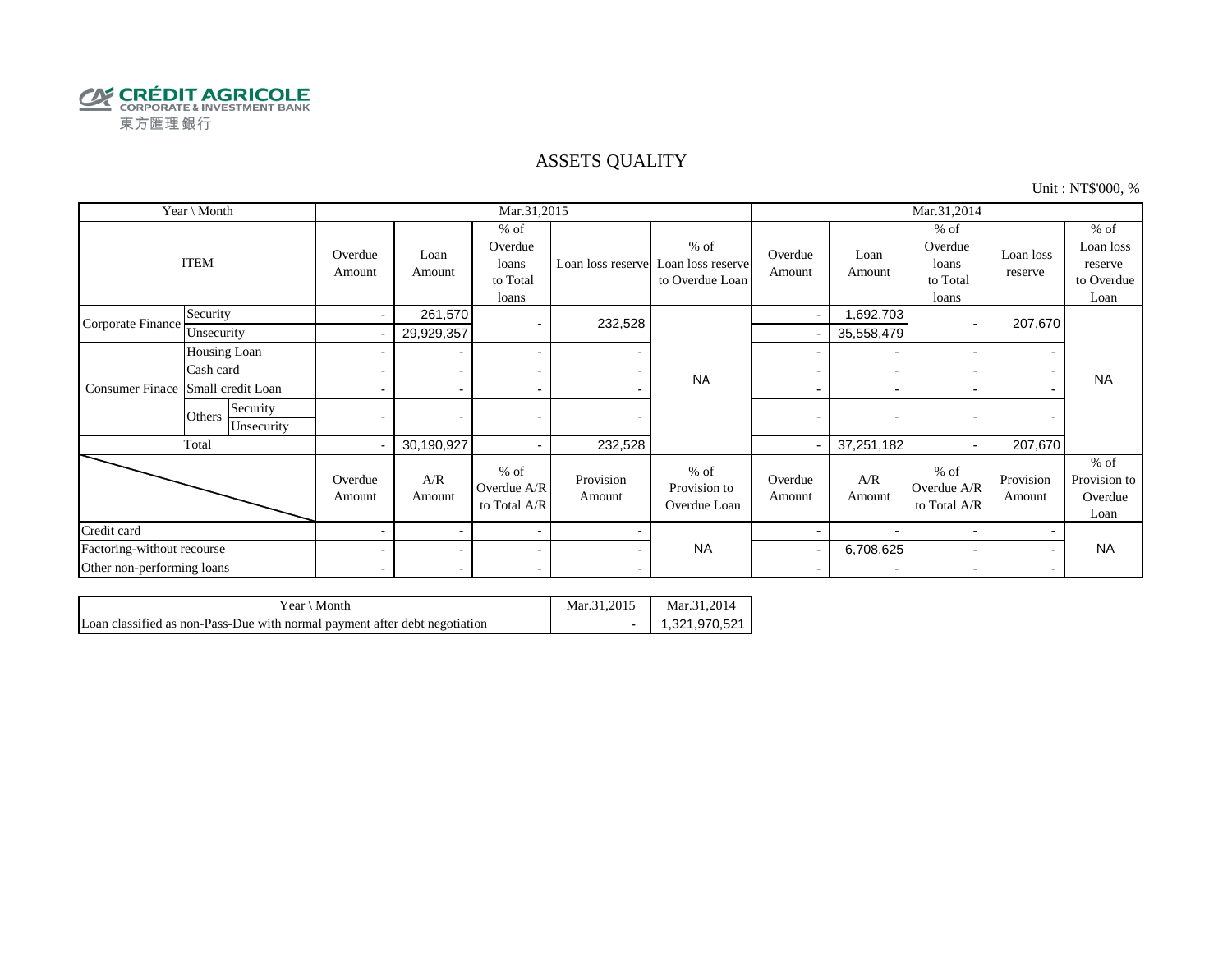

#### ASSETS QUALITY

Unit : NT\$'000, %

| Year \ Month               |                                  |                          |                          | Mar.31,2015                                     |                     |                                                                  | Mar.31,2014              |                          |                                                 |                          |                                                      |
|----------------------------|----------------------------------|--------------------------|--------------------------|-------------------------------------------------|---------------------|------------------------------------------------------------------|--------------------------|--------------------------|-------------------------------------------------|--------------------------|------------------------------------------------------|
|                            | <b>ITEM</b>                      | Overdue<br>Amount        | Loan<br>Amount           | $%$ of<br>Overdue<br>loans<br>to Total<br>loans |                     | $%$ of<br>Loan loss reserve Loan loss reserve<br>to Overdue Loan | Overdue<br>Amount        | Loan<br>Amount           | $%$ of<br>Overdue<br>loans<br>to Total<br>loans | Loan loss<br>reserve     | $%$ of<br>Loan loss<br>reserve<br>to Overdue<br>Loan |
| Corporate Finance          | Security                         | $\sim$                   | 261,570                  |                                                 | 232,528             |                                                                  | $\overline{\phantom{a}}$ | ,692,703                 |                                                 | 207,670                  |                                                      |
|                            | Unsecurity                       |                          | 29,929,357               |                                                 |                     |                                                                  |                          | 35,558,479               |                                                 |                          |                                                      |
|                            | Housing Loan                     |                          |                          | $\blacksquare$                                  |                     |                                                                  |                          | $\blacksquare$           | $\overline{\phantom{0}}$                        |                          |                                                      |
|                            | Cash card                        |                          |                          | $\sim$                                          |                     | <b>NA</b>                                                        |                          |                          |                                                 |                          | <b>NA</b>                                            |
| <b>Consumer Finace</b>     | Small credit Loan                |                          |                          | $\blacksquare$                                  |                     |                                                                  | $\overline{\phantom{0}}$ | $\overline{\phantom{0}}$ |                                                 |                          |                                                      |
|                            | Security<br>Others<br>Unsecurity | $\blacksquare$           | $\overline{\phantom{0}}$ |                                                 | -                   |                                                                  | $\overline{\phantom{0}}$ | $\overline{\phantom{0}}$ |                                                 | $\overline{\phantom{0}}$ |                                                      |
|                            | Total                            |                          | 30,190,927               | $\blacksquare$                                  | 232,528             |                                                                  |                          | 37,251,182               |                                                 | 207,670                  |                                                      |
|                            |                                  | Overdue<br>Amount        | A/R<br>Amount            | $%$ of<br>Overdue A/R<br>to Total A/R           | Provision<br>Amount | $%$ of<br>Provision to<br>Overdue Loan                           | Overdue<br>Amount        | A/R<br>Amount            | $%$ of<br>Overdue A/R<br>to Total A/R           | Provision<br>Amount      | $%$ of<br>Provision to<br>Overdue<br>Loan            |
| Credit card                |                                  | $\blacksquare$           |                          | $\blacksquare$                                  |                     |                                                                  |                          | $\overline{\phantom{0}}$ |                                                 |                          |                                                      |
| Factoring-without recourse |                                  | $\overline{\phantom{a}}$ | $\overline{\phantom{0}}$ | $\sim$                                          |                     | <b>NA</b>                                                        |                          | 6,708,625                |                                                 |                          | <b>NA</b>                                            |
| Other non-performing loans |                                  | $\overline{\phantom{a}}$ |                          | $\sim$                                          |                     |                                                                  | $\overline{\phantom{a}}$ | $\overline{\phantom{0}}$ |                                                 |                          |                                                      |

| Year ∖ Month                                                               | Mar.31.2015 | Mar.31.2014   |
|----------------------------------------------------------------------------|-------------|---------------|
| Loan classified as non-Pass-Due with normal payment after debt negotiation |             | 1.321.970.521 |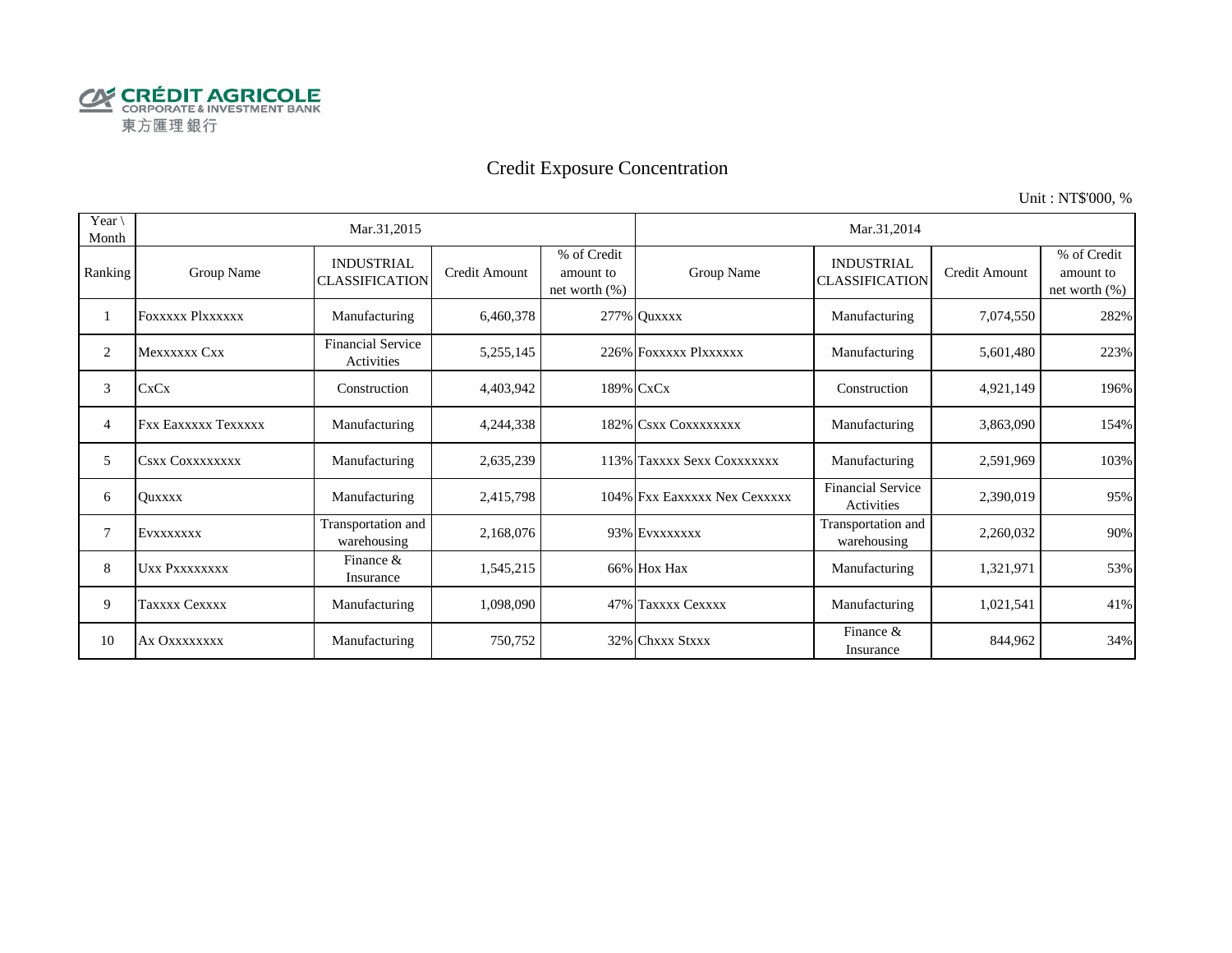

# Credit Exposure Concentration

Unit : NT\$'000, %

| Year <sup>\</sup><br>Month |                            | Mar.31,2015                                |               |                                               | Mar.31,2014                  |                                            |               |                                              |  |  |
|----------------------------|----------------------------|--------------------------------------------|---------------|-----------------------------------------------|------------------------------|--------------------------------------------|---------------|----------------------------------------------|--|--|
| Ranking                    | Group Name                 | <b>INDUSTRIAL</b><br><b>CLASSIFICATION</b> | Credit Amount | % of Credit<br>amount to<br>net worth $(\% )$ | Group Name                   | <b>INDUSTRIAL</b><br><b>CLASSIFICATION</b> | Credit Amount | % of Credit<br>amount to<br>net worth $(\%)$ |  |  |
|                            | FOXXXXX Plxxxxxx           | Manufacturing                              | 6,460,378     |                                               | 277% Quxxxx                  | Manufacturing                              | 7,074,550     | 282%                                         |  |  |
| 2                          | Mexxxxxx Cxx               | <b>Financial Service</b><br>Activities     | 5,255,145     |                                               | 226% FOXXXXX PlXXXXXX        | Manufacturing                              | 5,601,480     | 223%                                         |  |  |
| 3                          | CxCx                       | Construction                               | 4,403,942     |                                               | 189% CxCx                    | Construction                               | 4,921,149     | 196%                                         |  |  |
| 4                          | <b>Fxx Eaxxxxx Texxxxx</b> | Manufacturing                              | 4,244,338     |                                               | 182% CSXX COXXXXXXX          | Manufacturing                              | 3,863,090     | 154%                                         |  |  |
| 5                          | Csxx Coxxxxxxxx            | Manufacturing                              | 2,635,239     |                                               | 113% Taxxxx Sexx Coxxxxxxx   | Manufacturing                              | 2,591,969     | 103%                                         |  |  |
| 6                          | <b>Ouxxxx</b>              | Manufacturing                              | 2,415,798     |                                               | 104% Fxx Eaxxxxx Nex Cexxxxx | <b>Financial Service</b><br>Activities     | 2,390,019     | 95%                                          |  |  |
| 7                          | EVXXXXXXX                  | Transportation and<br>warehousing          | 2,168,076     |                                               | 93% EVXXXXXXX                | Transportation and<br>warehousing          | 2,260,032     | 90%                                          |  |  |
| 8                          | UXX PXXXXXXXX              | Finance &<br>Insurance                     | 1,545,215     |                                               | 66% Hox Hax                  | Manufacturing                              | 1,321,971     | 53%                                          |  |  |
| 9                          | Taxxxx Cexxxx              | Manufacturing                              | 1,098,090     |                                               | 47% Taxxxx Cexxxx            | Manufacturing                              | 1,021,541     | 41%                                          |  |  |
| 10                         | Ax OXXXXXXX                | Manufacturing                              | 750,752       |                                               | 32% Chxxx Stxxx              | Finance $&$<br>Insurance                   | 844,962       | 34%                                          |  |  |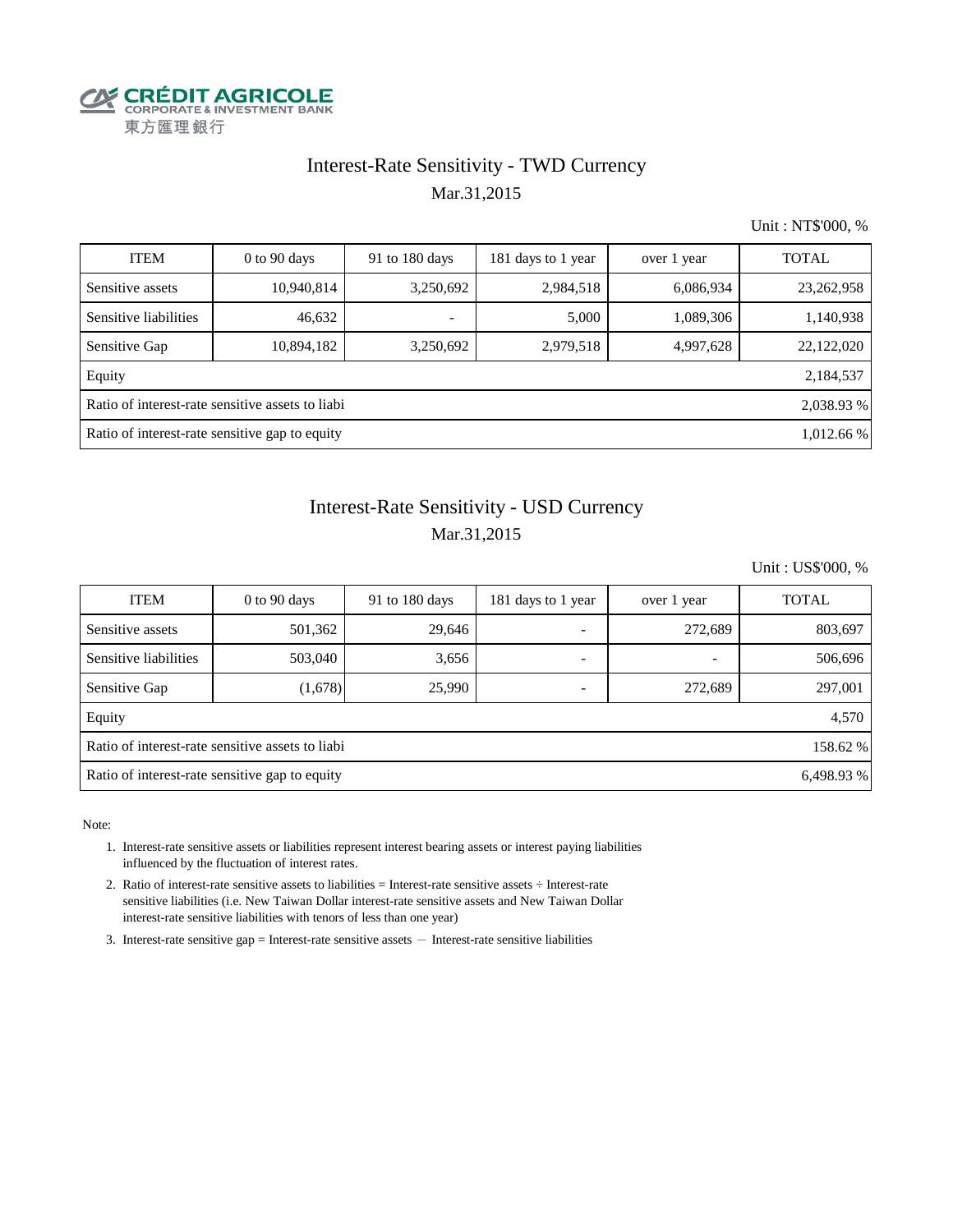

## Interest-Rate Sensitivity - TWD Currency Mar.31,2015

Unit : NT\$'000, %

| <b>ITEM</b>                                                    | $0$ to 90 days | 91 to 180 days           | 181 days to 1 year | over 1 year | <b>TOTAL</b> |  |  |  |  |
|----------------------------------------------------------------|----------------|--------------------------|--------------------|-------------|--------------|--|--|--|--|
| Sensitive assets                                               | 10,940,814     | 3,250,692                | 2,984,518          | 6,086,934   | 23, 262, 958 |  |  |  |  |
| Sensitive liabilities                                          | 46,632         | $\overline{\phantom{0}}$ | 5,000              | 1,089,306   | 1,140,938    |  |  |  |  |
| Sensitive Gap                                                  | 10,894,182     | 3,250,692                | 2,979,518          | 4,997,628   | 22,122,020   |  |  |  |  |
| Equity                                                         |                |                          |                    |             | 2,184,537    |  |  |  |  |
| Ratio of interest-rate sensitive assets to liabi<br>2,038.93 % |                |                          |                    |             |              |  |  |  |  |
| Ratio of interest-rate sensitive gap to equity<br>1,012.66 %   |                |                          |                    |             |              |  |  |  |  |

## Mar.31,2015 Interest-Rate Sensitivity - USD Currency

Unit : US\$'000, %

| <b>ITEM</b>                                                  | $0$ to $90$ days | 91 to 180 days | 181 days to 1 year       | over 1 year | <b>TOTAL</b> |  |  |  |  |
|--------------------------------------------------------------|------------------|----------------|--------------------------|-------------|--------------|--|--|--|--|
| Sensitive assets                                             | 501,362          | 29,646         | $\overline{\phantom{0}}$ | 272,689     | 803,697      |  |  |  |  |
| Sensitive liabilities                                        | 503,040          | 3,656          |                          |             | 506,696      |  |  |  |  |
| Sensitive Gap                                                | (1,678)          | 25,990         |                          | 272,689     | 297,001      |  |  |  |  |
| Equity                                                       |                  |                |                          |             | 4,570        |  |  |  |  |
| Ratio of interest-rate sensitive assets to liabi<br>158.62 % |                  |                |                          |             |              |  |  |  |  |
| Ratio of interest-rate sensitive gap to equity<br>6.498.93 % |                  |                |                          |             |              |  |  |  |  |

- 1. Interest-rate sensitive assets or liabilities represent interest bearing assets or interest paying liabilities influenced by the fluctuation of interest rates.
- 2. Ratio of interest-rate sensitive assets to liabilities = Interest-rate sensitive assets ÷ Interest-rate sensitive liabilities (i.e. New Taiwan Dollar interest-rate sensitive assets and New Taiwan Dollar interest-rate sensitive liabilities with tenors of less than one year)
- 3. Interest-rate sensitive gap = Interest-rate sensitive assets  $-$  Interest-rate sensitive liabilities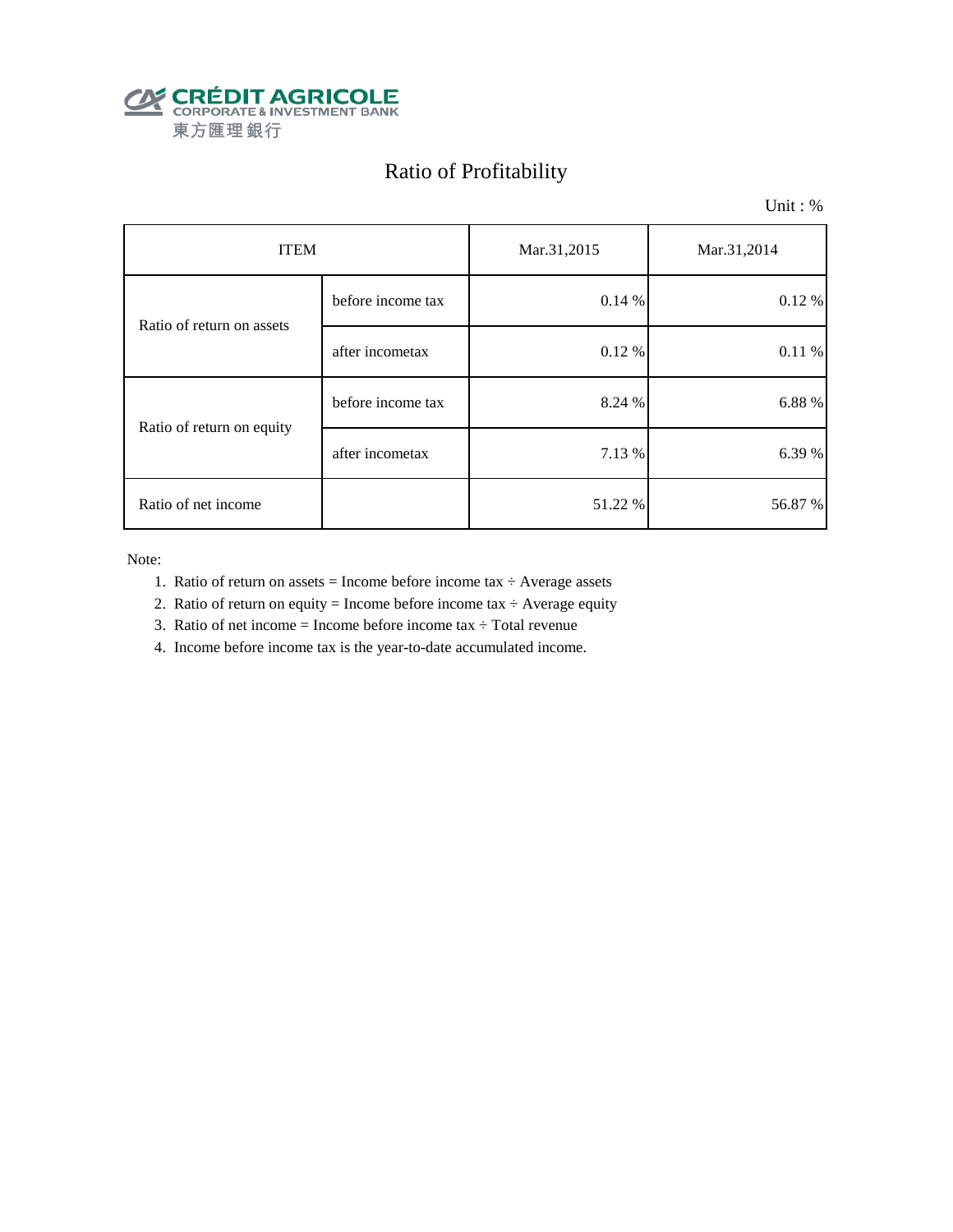

# Ratio of Profitability

Unit : %

| <b>ITEM</b>               |                   | Mar.31,2015 | Mar.31,2014 |  |
|---------------------------|-------------------|-------------|-------------|--|
| Ratio of return on assets | before income tax | 0.14%       | $0.12 \%$   |  |
|                           | after incometax   | 0.12 %      | 0.11%       |  |
| Ratio of return on equity | before income tax | 8.24 %      | 6.88 %      |  |
|                           | after incometax   | 7.13 %      | 6.39 %      |  |
| Ratio of net income       |                   | 51.22 %     | 56.87 %     |  |

- 1. Ratio of return on assets = Income before income tax  $\div$  Average assets
- 2. Ratio of return on equity = Income before income tax  $\div$  Average equity
- 3. Ratio of net income = Income before income tax  $\div$  Total revenue
- 4. Income before income tax is the year-to-date accumulated income.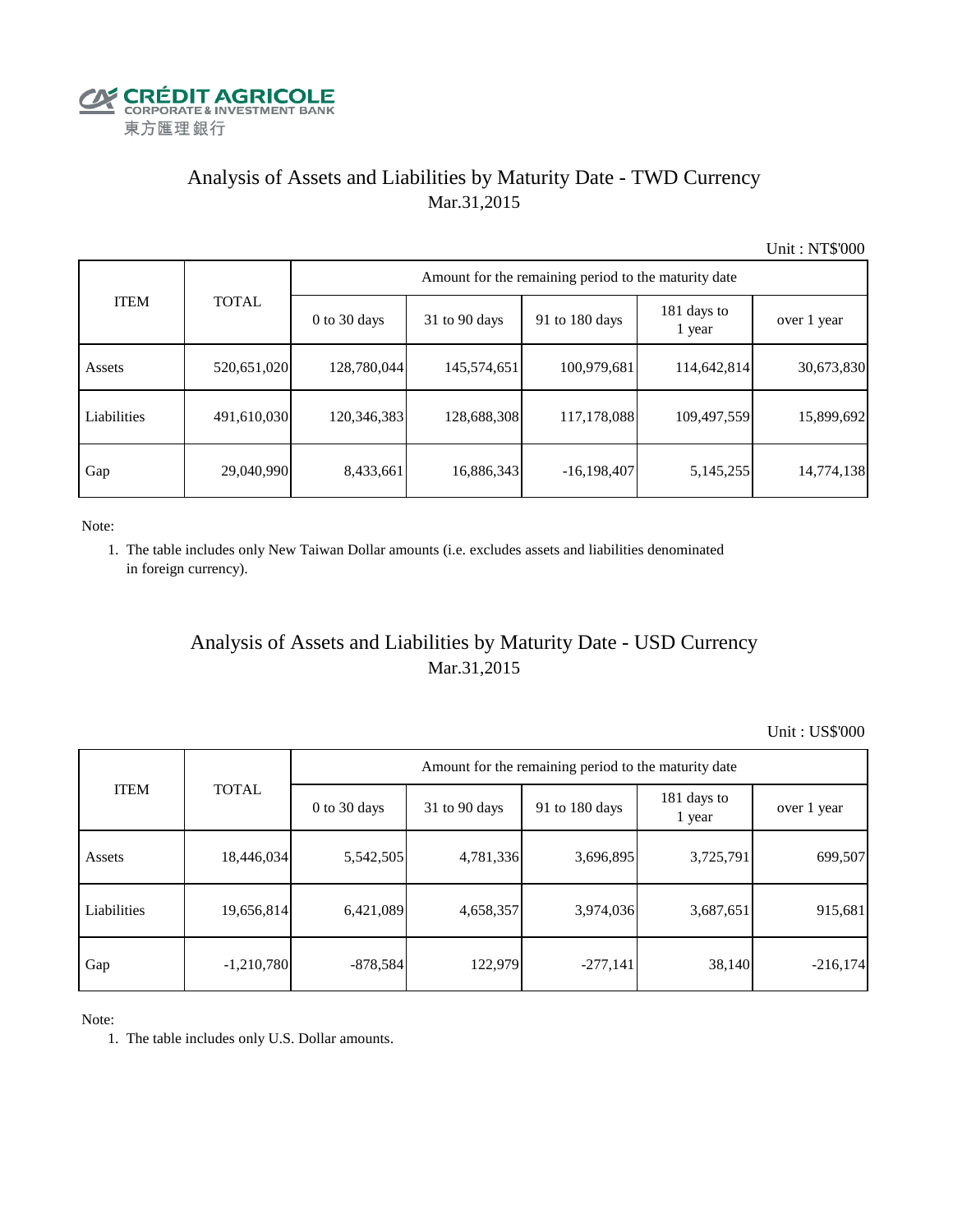

## Analysis of Assets and Liabilities by Maturity Date - TWD Currency Mar.31,2015

Unit : NT\$'000

| <b>ITEM</b> | <b>TOTAL</b> | Amount for the remaining period to the maturity date |                 |                |                       |             |  |  |
|-------------|--------------|------------------------------------------------------|-----------------|----------------|-----------------------|-------------|--|--|
|             |              | $0$ to 30 days                                       | $31$ to 90 days | 91 to 180 days | 181 days to<br>1 year | over 1 year |  |  |
| Assets      | 520,651,020  | 128,780,044                                          | 145,574,651     | 100,979,681    | 114,642,814           | 30,673,830  |  |  |
| Liabilities | 491,610,030  | 120,346,383                                          | 128,688,308     | 117,178,088    | 109,497,559           | 15,899,692  |  |  |
| Gap         | 29,040,990   | 8,433,661                                            | 16,886,343      | $-16,198,407$  | 5,145,255             | 14,774,138  |  |  |

Note:

 1. The table includes only New Taiwan Dollar amounts (i.e. excludes assets and liabilities denominated in foreign currency).

## Analysis of Assets and Liabilities by Maturity Date - USD Currency Mar.31,2015

Unit : US\$'000

| <b>ITEM</b> |              |                | Amount for the remaining period to the maturity date |                |                       |             |  |
|-------------|--------------|----------------|------------------------------------------------------|----------------|-----------------------|-------------|--|
|             | <b>TOTAL</b> | $0$ to 30 days | $31$ to 90 days                                      | 91 to 180 days | 181 days to<br>1 year | over 1 year |  |
| Assets      | 18,446,034   | 5,542,505      | 4,781,336                                            | 3,696,895      | 3,725,791             | 699,507     |  |
| Liabilities | 19,656,814   | 6,421,089      | 4,658,357                                            | 3,974,036      | 3,687,651             | 915,681     |  |
| Gap         | $-1,210,780$ | $-878,584$     | 122,979                                              | $-277,141$     | 38,140                | $-216,174$  |  |

Note:

1. The table includes only U.S. Dollar amounts.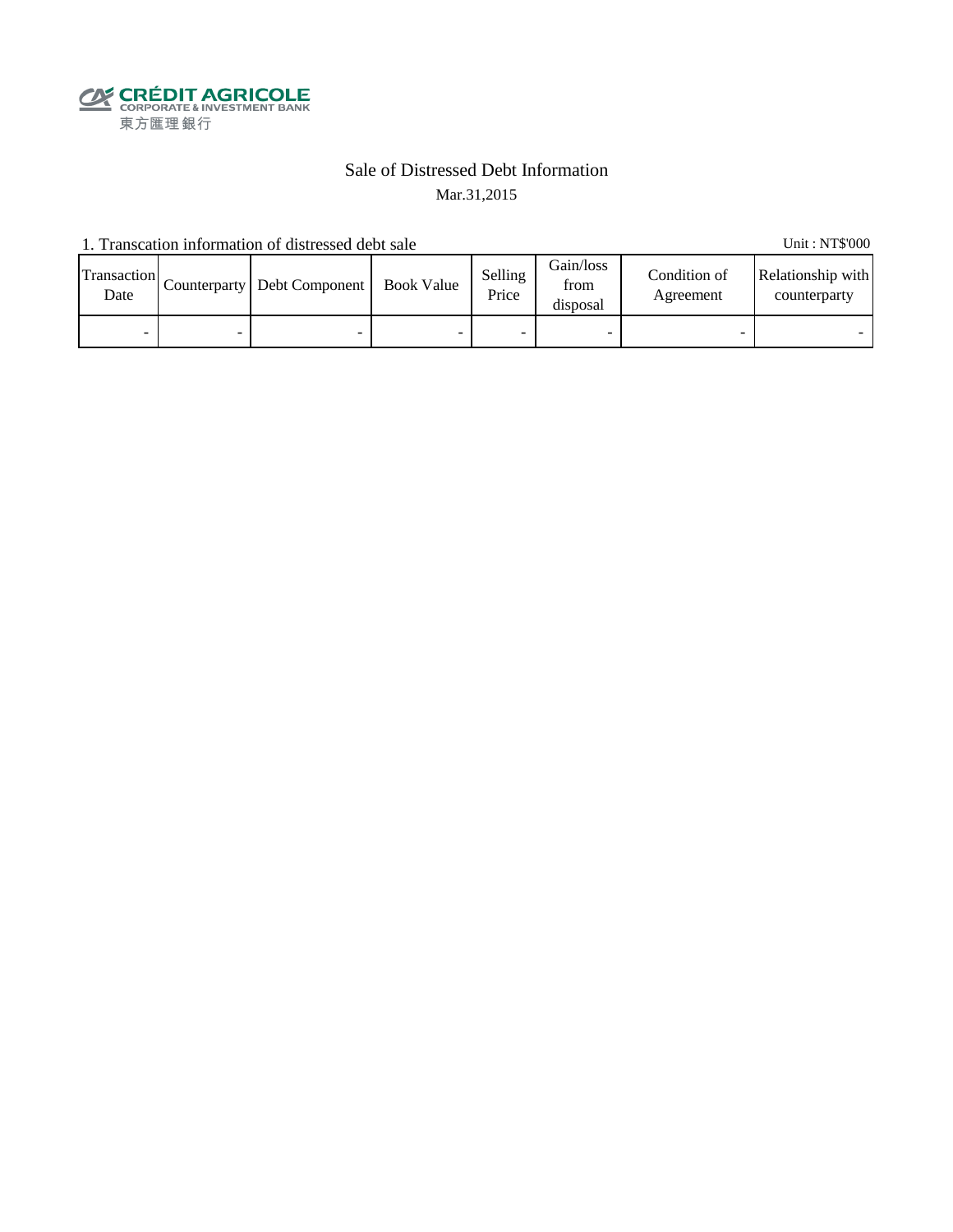

### Sale of Distressed Debt Information Mar.31,2015

1. Transcation information of distressed debt sale Unit: NT\$'000

| Transaction<br>Date | Counterparty Debt Component | <b>Book Value</b> | Selling<br>Price | Gain/loss<br>from<br>disposal | Condition of<br>Agreement | Relationship with<br>counterparty |
|---------------------|-----------------------------|-------------------|------------------|-------------------------------|---------------------------|-----------------------------------|
| -                   | -                           |                   |                  |                               |                           |                                   |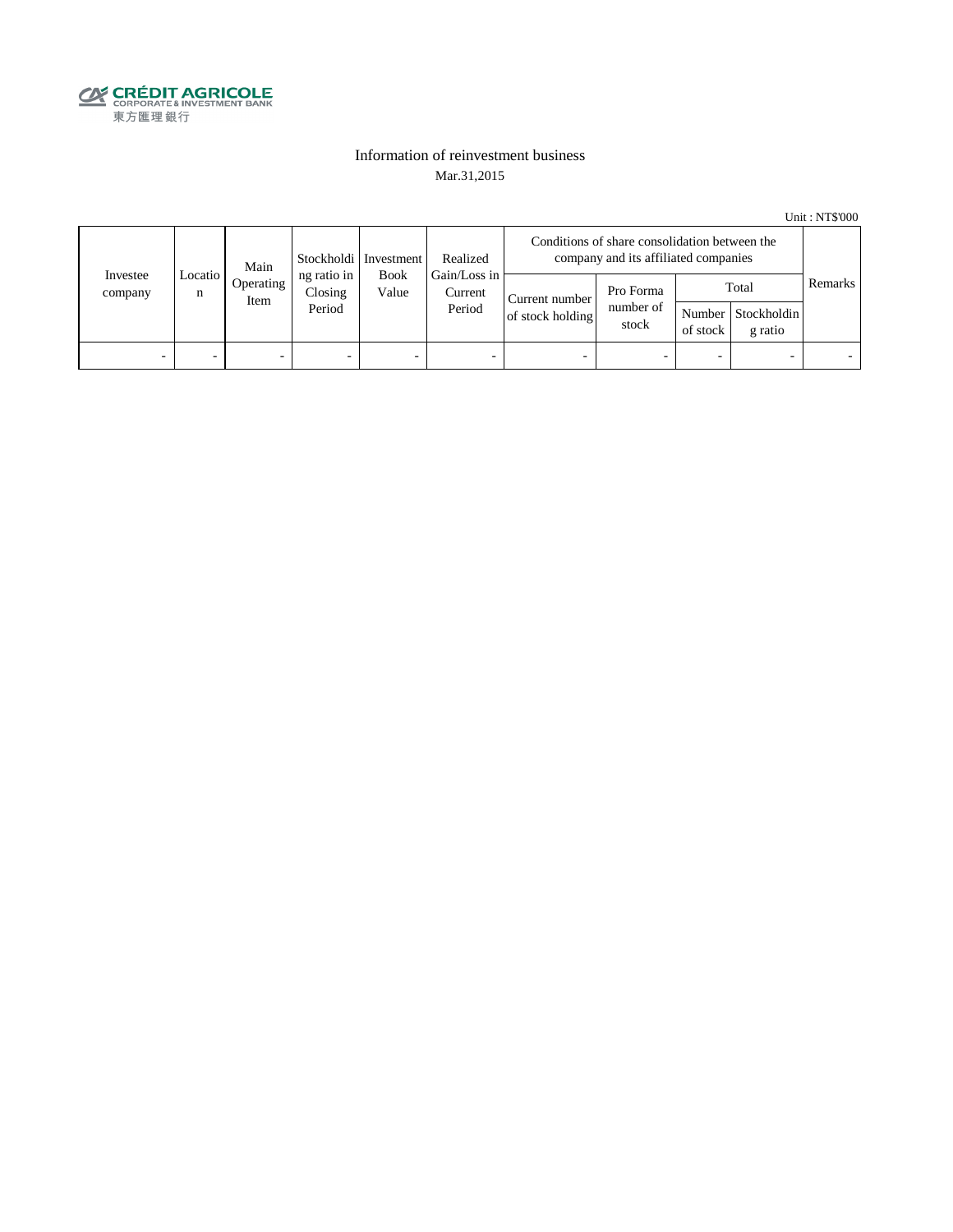

#### Information of reinvestment business Mar.31,2015

Unit : NT\$'000

|                     | Main           |                   | Stockholdi   Investment          | Realized             | Conditions of share consolidation between the<br>company and its affiliated companies |                                    |                                 |                          |                                        |         |
|---------------------|----------------|-------------------|----------------------------------|----------------------|---------------------------------------------------------------------------------------|------------------------------------|---------------------------------|--------------------------|----------------------------------------|---------|
| Investee<br>company | Locatio  <br>n | Operating<br>Item | ng ratio in<br>Closing<br>Period | <b>Book</b><br>Value | Gain/Loss in<br>Current<br>Period                                                     | Current number<br>of stock holding | Pro Forma<br>number of<br>stock | of stock                 | Total<br>Number Stockholdin<br>g ratio | Remarks |
| -                   |                | -                 | $\overline{\phantom{0}}$         | -                    | $\overline{\phantom{a}}$                                                              | -                                  |                                 | $\overline{\phantom{0}}$ |                                        |         |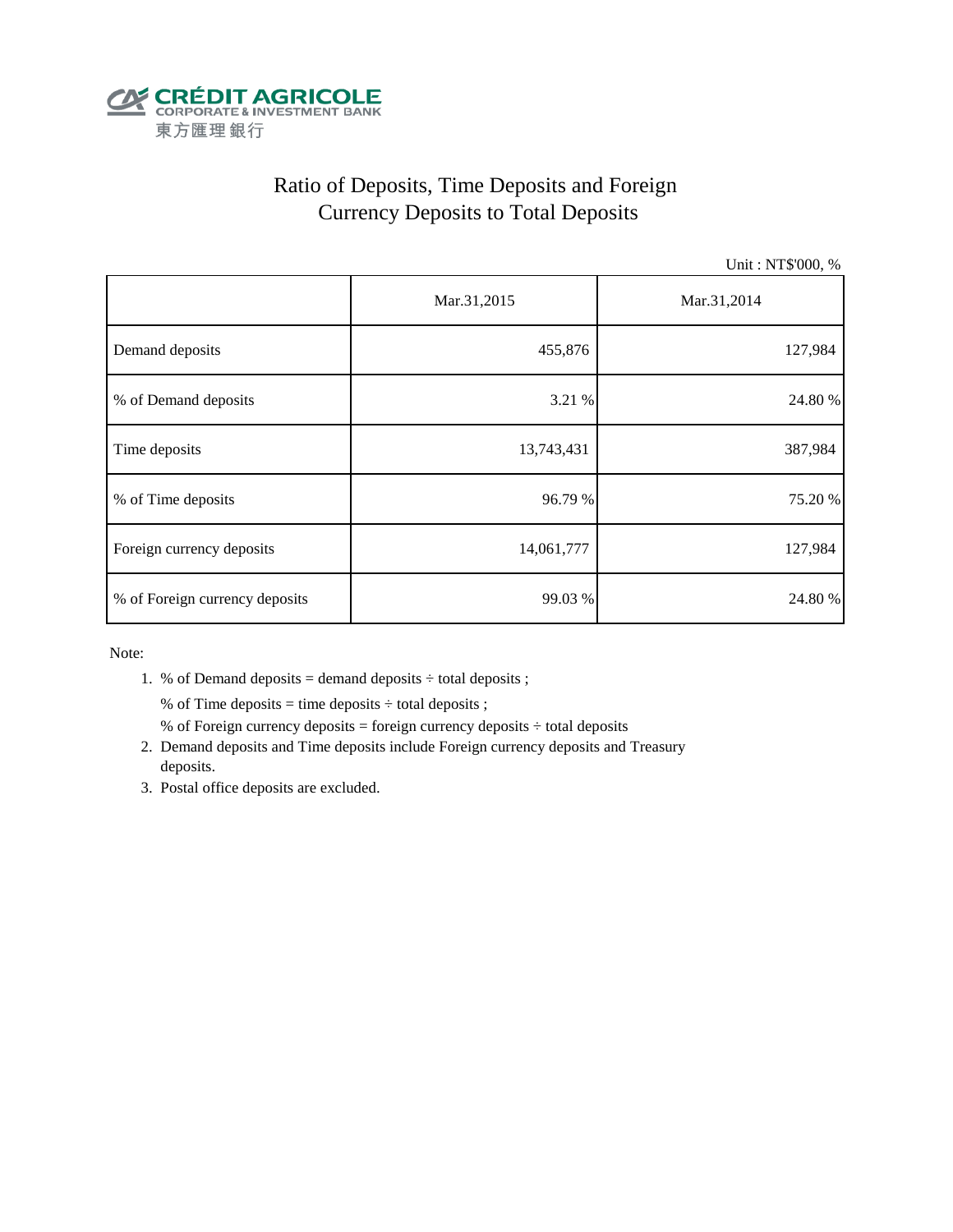

# Ratio of Deposits, Time Deposits and Foreign Currency Deposits to Total Deposits

Unit : NT\$'000, %

|                                | Mar.31,2015 | Mar.31,2014 |  |  |
|--------------------------------|-------------|-------------|--|--|
| Demand deposits                | 455,876     | 127,984     |  |  |
| % of Demand deposits           | 3.21 %      | 24.80 %     |  |  |
| Time deposits                  | 13,743,431  | 387,984     |  |  |
| % of Time deposits             | 96.79 %     | 75.20 %     |  |  |
| Foreign currency deposits      | 14,061,777  | 127,984     |  |  |
| % of Foreign currency deposits | 99.03 %     | 24.80 %     |  |  |

Note:

1. % of Demand deposits = demand deposits  $\div$  total deposits ;

% of Time deposits = time deposits  $\div$  total deposits ;

- % of Foreign currency deposits = foreign currency deposits  $\div$  total deposits
- 2. Demand deposits and Time deposits include Foreign currency deposits and Treasury deposits.
- 3. Postal office deposits are excluded.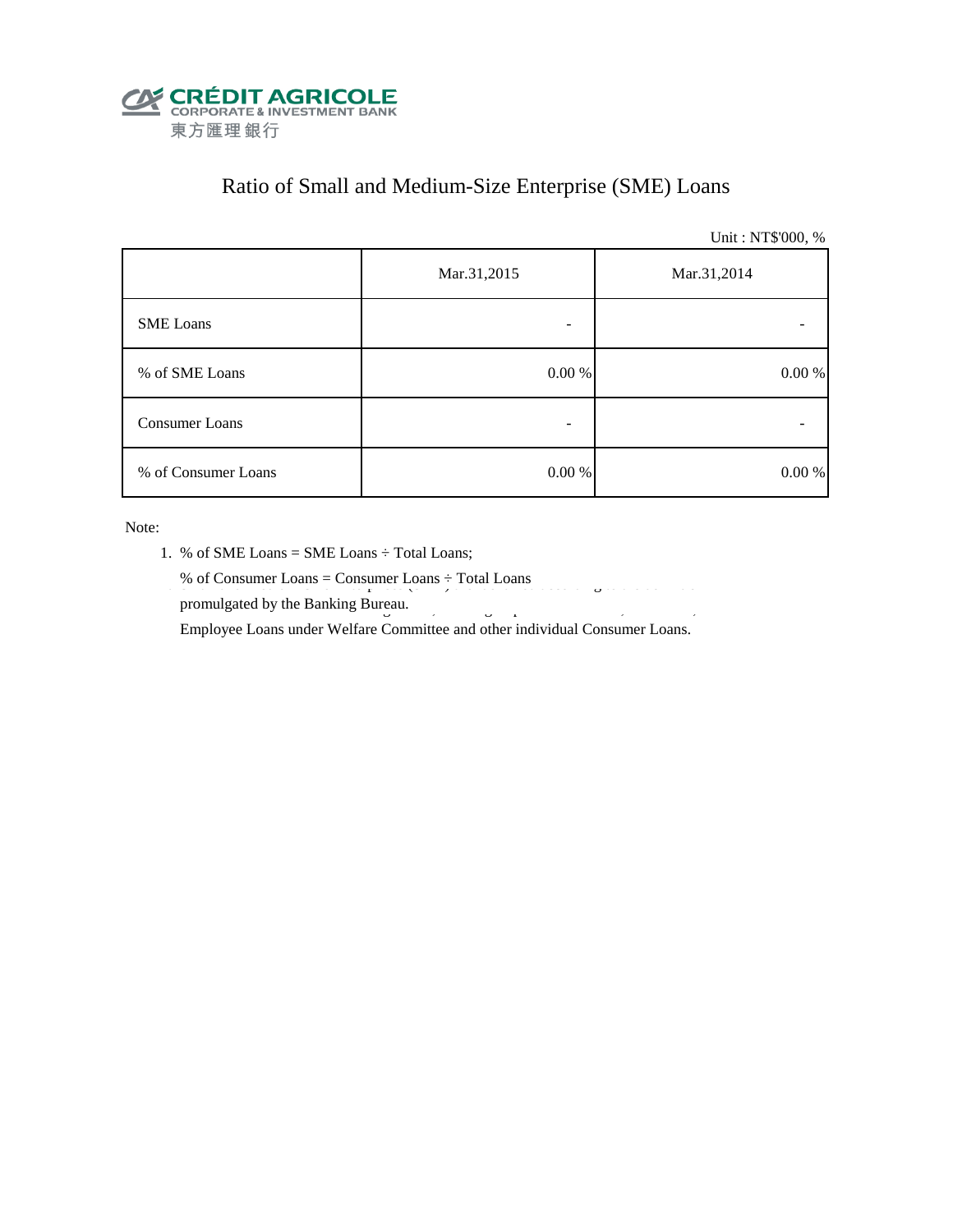

# Ratio of Small and Medium-Size Enterprise (SME) Loans

Unit : NT\$'000, %

|                     | Mar.31,2015 | Mar.31,2014 |
|---------------------|-------------|-------------|
| <b>SME</b> Loans    |             |             |
| % of SME Loans      | $0.00\ \%$  | 0.00 %      |
| Consumer Loans      |             |             |
| % of Consumer Loans | $0.00\ \%$  | $0.00\ \%$  |

- 1. % of SME Loans = SME Loans ÷ Total Loans;
- % of Consumer Loans = Consumer Loans  $\div$  Total Loans  $\%$  or Consumer Loans = Consumer Loans  $\div$  1 oral Loans
- promulgated by the Banking Bureau.  $\frac{3}{2}$ Employee Loans under Welfare Committee and other individual Consumer Loans.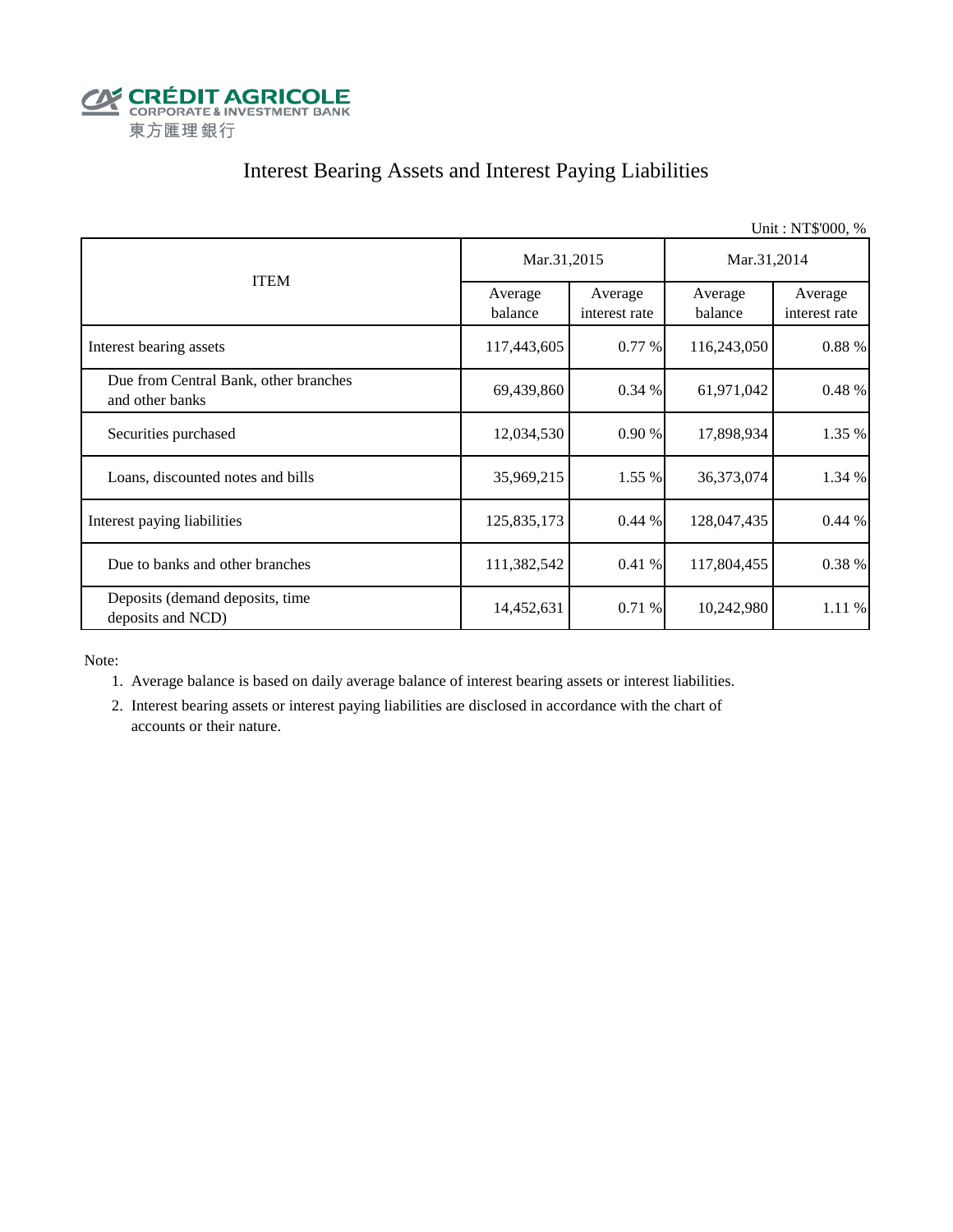

# Interest Bearing Assets and Interest Paying Liabilities

|                                                          |                    |                          |                    | Unit: NT\$'000, %        |  |
|----------------------------------------------------------|--------------------|--------------------------|--------------------|--------------------------|--|
|                                                          | Mar.31,2015        |                          | Mar.31,2014        |                          |  |
| <b>ITEM</b>                                              | Average<br>balance | Average<br>interest rate | Average<br>balance | Average<br>interest rate |  |
| Interest bearing assets                                  | 117,443,605        | 0.77%                    | 116,243,050        | 0.88 %                   |  |
| Due from Central Bank, other branches<br>and other banks | 69,439,860         | 0.34%                    | 61,971,042         | 0.48 %                   |  |
| Securities purchased                                     | 12,034,530         | 0.90%                    | 17,898,934         | 1.35 %                   |  |
| Loans, discounted notes and bills                        | 35,969,215         | 1.55 %                   | 36,373,074         | 1.34 %                   |  |
| Interest paying liabilities                              | 125,835,173        | 0.44%                    | 128,047,435        | 0.44%                    |  |
| Due to banks and other branches                          | 111,382,542        | 0.41%                    | 117,804,455        | 0.38 %                   |  |
| Deposits (demand deposits, time<br>deposits and NCD)     | 14,452,631         | 0.71%                    | 10,242,980         | 1.11 %                   |  |

Note:

1. Average balance is based on daily average balance of interest bearing assets or interest liabilities.

 2. Interest bearing assets or interest paying liabilities are disclosed in accordance with the chart of accounts or their nature.